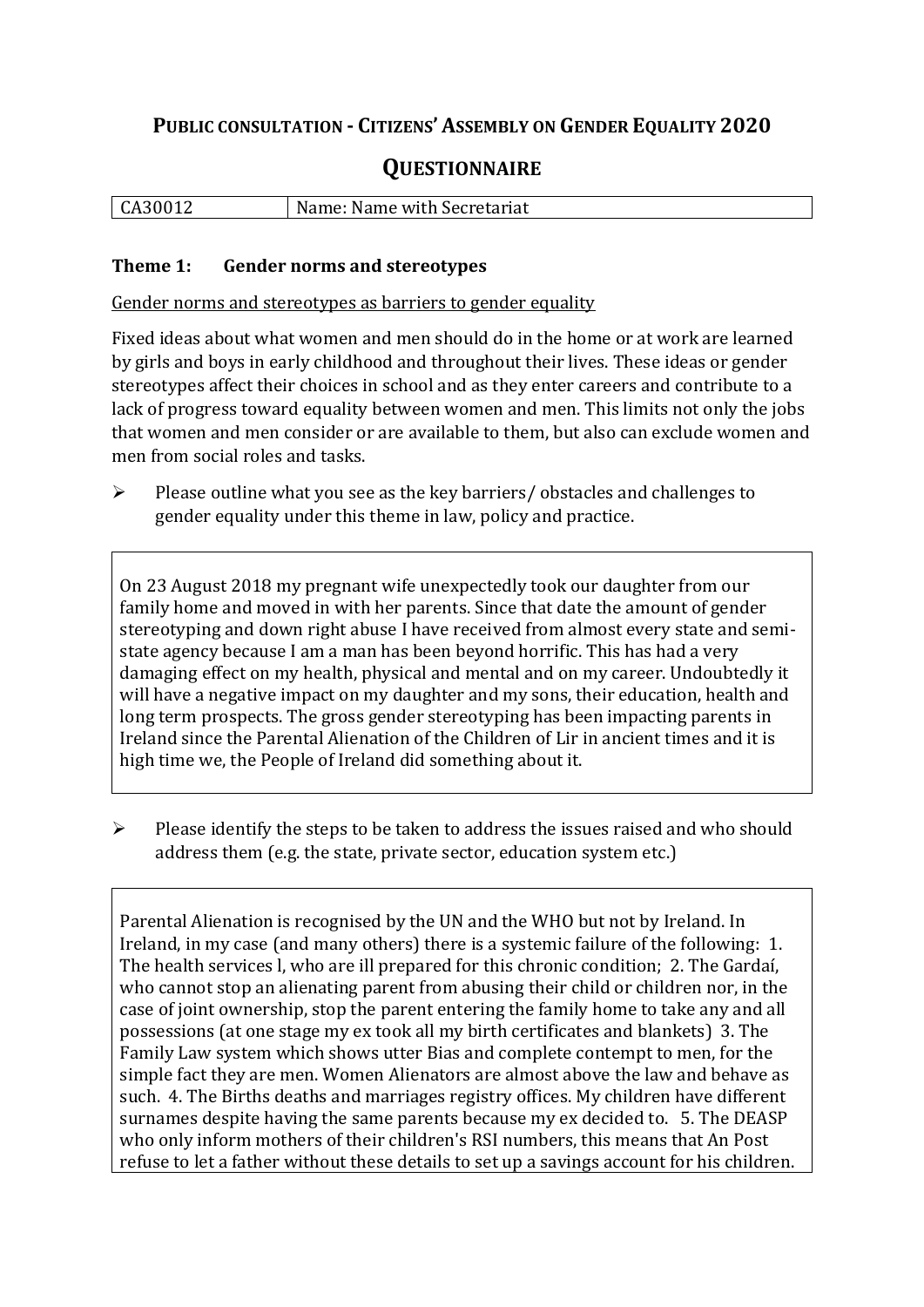## **PUBLIC CONSULTATION - CITIZENS' ASSEMBLY ON GENDER EQUALITY 2020**

# **QUESTIONNAIRE**

| CA30012 | Name: Name with Secretariat |
|---------|-----------------------------|
|         |                             |

#### **Theme 1: Gender norms and stereotypes**

Gender norms and stereotypes as barriers to gender equality

Fixed ideas about what women and men should do in the home or at work are learned by girls and boys in early childhood and throughout their lives. These ideas or gender stereotypes affect their choices in school and as they enter careers and contribute to a lack of progress toward equality between women and men. This limits not only the jobs that women and men consider or are available to them, but also can exclude women and men from social roles and tasks.

➢ Please outline what you see as the key barriers/ obstacles and challenges to gender equality under this theme in law, policy and practice.

On 23 August 2018 my pregnant wife unexpectedly took our daughter from our family home and moved in with her parents. Since that date the amount of gender stereotyping and down right abuse I have received from almost every state and semistate agency because I am a man has been beyond horrific. This has had a very damaging effect on my health, physical and mental and on my career. Undoubtedly it will have a negative impact on my daughter and my sons, their education, health and long term prospects. The gross gender stereotyping has been impacting parents in Ireland since the Parental Alienation of the Children of Lir in ancient times and it is high time we, the People of Ireland did something about it.

 $\triangleright$  Please identify the steps to be taken to address the issues raised and who should address them (e.g. the state, private sector, education system etc.)

Parental Alienation is recognised by the UN and the WHO but not by Ireland. In Ireland, in my case (and many others) there is a systemic failure of the following: 1. The health services l, who are ill prepared for this chronic condition; 2. The Gardaí, who cannot stop an alienating parent from abusing their child or children nor, in the case of joint ownership, stop the parent entering the family home to take any and all possessions (at one stage my ex took all my birth certificates and blankets) 3. The Family Law system which shows utter Bias and complete contempt to men, for the simple fact they are men. Women Alienators are almost above the law and behave as such. 4. The Births deaths and marriages registry offices. My children have different surnames despite having the same parents because my ex decided to. 5. The DEASP who only inform mothers of their children's RSI numbers, this means that An Post refuse to let a father without these details to set up a savings account for his children.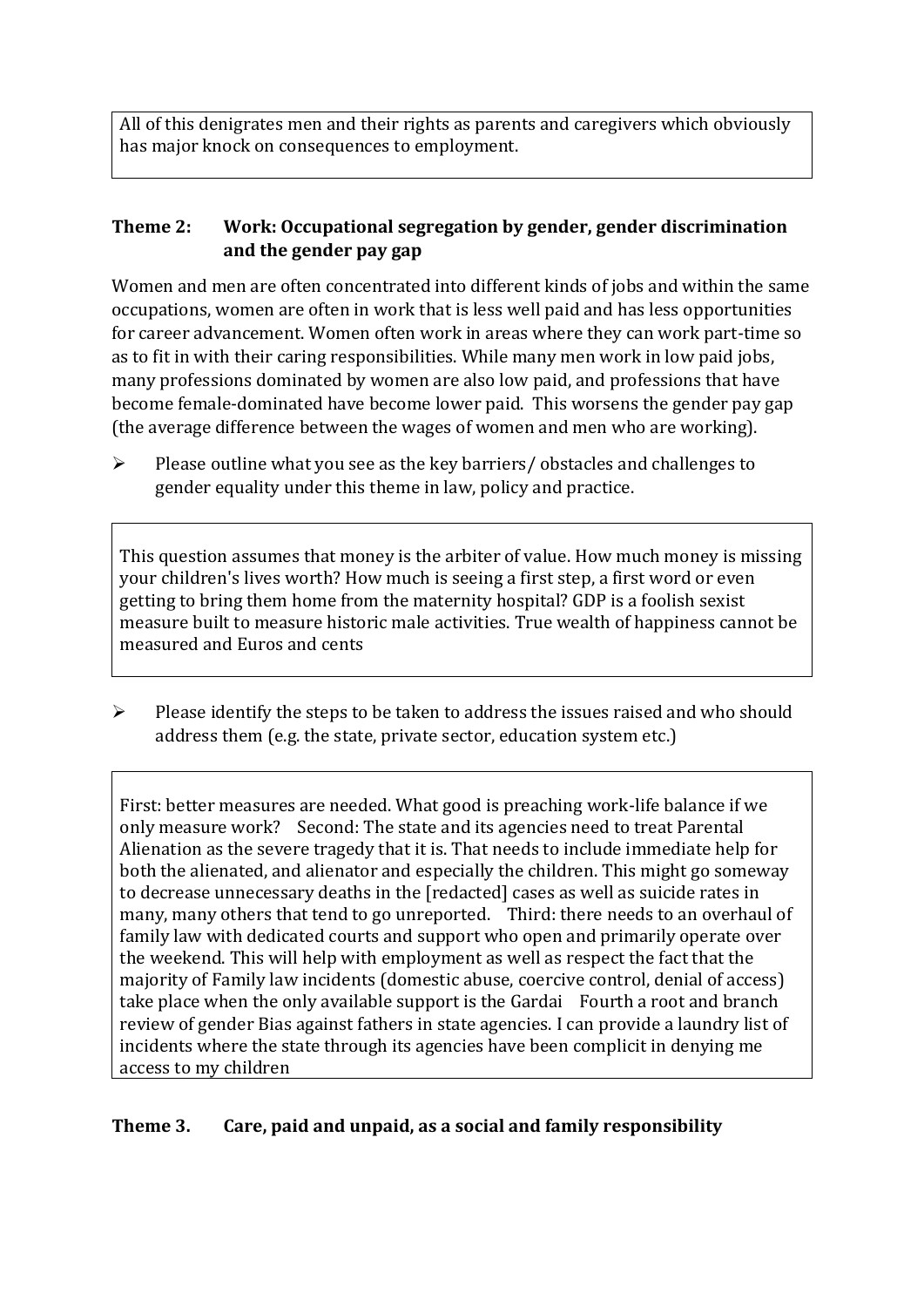All of this denigrates men and their rights as parents and caregivers which obviously has major knock on consequences to employment.

### **Theme 2: Work: Occupational segregation by gender, gender discrimination and the gender pay gap**

Women and men are often concentrated into different kinds of jobs and within the same occupations, women are often in work that is less well paid and has less opportunities for career advancement. Women often work in areas where they can work part-time so as to fit in with their caring responsibilities. While many men work in low paid jobs, many professions dominated by women are also low paid, and professions that have become female-dominated have become lower paid. This worsens the gender pay gap (the average difference between the wages of women and men who are working).

➢ Please outline what you see as the key barriers/ obstacles and challenges to gender equality under this theme in law, policy and practice.

This question assumes that money is the arbiter of value. How much money is missing your children's lives worth? How much is seeing a first step, a first word or even getting to bring them home from the maternity hospital? GDP is a foolish sexist measure built to measure historic male activities. True wealth of happiness cannot be measured and Euros and cents

➢ Please identify the steps to be taken to address the issues raised and who should address them (e.g. the state, private sector, education system etc.)

First: better measures are needed. What good is preaching work-life balance if we only measure work? Second: The state and its agencies need to treat Parental Alienation as the severe tragedy that it is. That needs to include immediate help for both the alienated, and alienator and especially the children. This might go someway to decrease unnecessary deaths in the [redacted] cases as well as suicide rates in many, many others that tend to go unreported. Third: there needs to an overhaul of family law with dedicated courts and support who open and primarily operate over the weekend. This will help with employment as well as respect the fact that the majority of Family law incidents (domestic abuse, coercive control, denial of access) take place when the only available support is the Gardai Fourth a root and branch review of gender Bias against fathers in state agencies. I can provide a laundry list of incidents where the state through its agencies have been complicit in denying me access to my children

## **Theme 3. Care, paid and unpaid, as a social and family responsibility**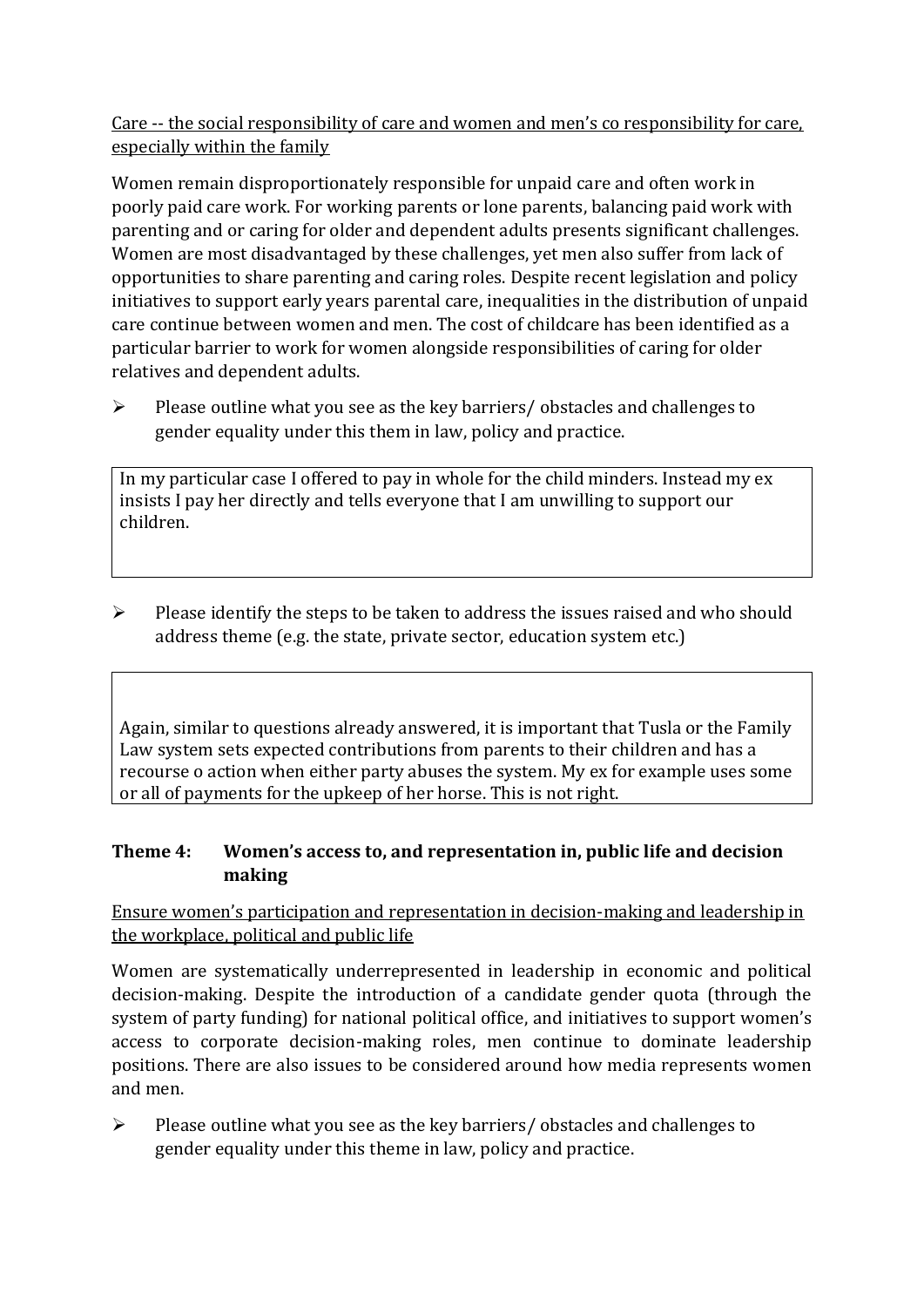Care -- the social responsibility of care and women and men's co responsibility for care, especially within the family

Women remain disproportionately responsible for unpaid care and often work in poorly paid care work. For working parents or [lone parents,](https://aran.library.nuigalway.ie/bitstream/handle/10379/6044/Millar_and_Crosse_Activation_Report.pdf?sequence=1&isAllowed=y) balancing paid work with parenting and or caring for older and dependent adults presents significant challenges. Women are [most disadvantaged by these challenges,](https://eige.europa.eu/gender-equality-index/game/IE/W) yet men also suffer from lack of opportunities to share parenting and caring roles. Despite recent legislation and policy initiatives to support early years parental care, [inequalities in the distribution of unpaid](https://www.ihrec.ie/app/uploads/2019/07/Caring-and-Unpaid-Work-in-Ireland_Final.pdf)  [care](https://www.ihrec.ie/app/uploads/2019/07/Caring-and-Unpaid-Work-in-Ireland_Final.pdf) continue between women and men. The cost of childcare has been identified as a particular barrier to work for women alongside responsibilities of caring for older relatives and dependent adults.

➢ Please outline what you see as the key barriers/ obstacles and challenges to gender equality under this them in law, policy and practice.

In my particular case I offered to pay in whole for the child minders. Instead my ex insists I pay her directly and tells everyone that I am unwilling to support our children.

 $\triangleright$  Please identify the steps to be taken to address the issues raised and who should address theme (e.g. the state, private sector, education system etc.)

Again, similar to questions already answered, it is important that Tusla or the Family Law system sets expected contributions from parents to their children and has a recourse o action when either party abuses the system. My ex for example uses some or all of payments for the upkeep of her horse. This is not right.

### **Theme 4: Women's access to, and representation in, public life and decision making**

Ensure women's participation and representation in decision-making and leadership in the workplace, political and public life

Women are systematically underrepresented in leadership in [economic](https://eige.europa.eu/gender-equality-index/2019/compare-countries/power/2/bar) and [political](https://eige.europa.eu/gender-equality-index/2019/compare-countries/power/1/bar)  [decision-](https://eige.europa.eu/gender-equality-index/2019/compare-countries/power/1/bar)making. Despite the introduction of a candidate gender quota (through the system of party funding) for national political office, and [initiatives](https://betterbalance.ie/) to support women's access to corporate decision-making roles, men continue to dominate leadership positions. There are also issues to be considered around how media represents women and men.

➢ Please outline what you see as the key barriers/ obstacles and challenges to gender equality under this theme in law, policy and practice.